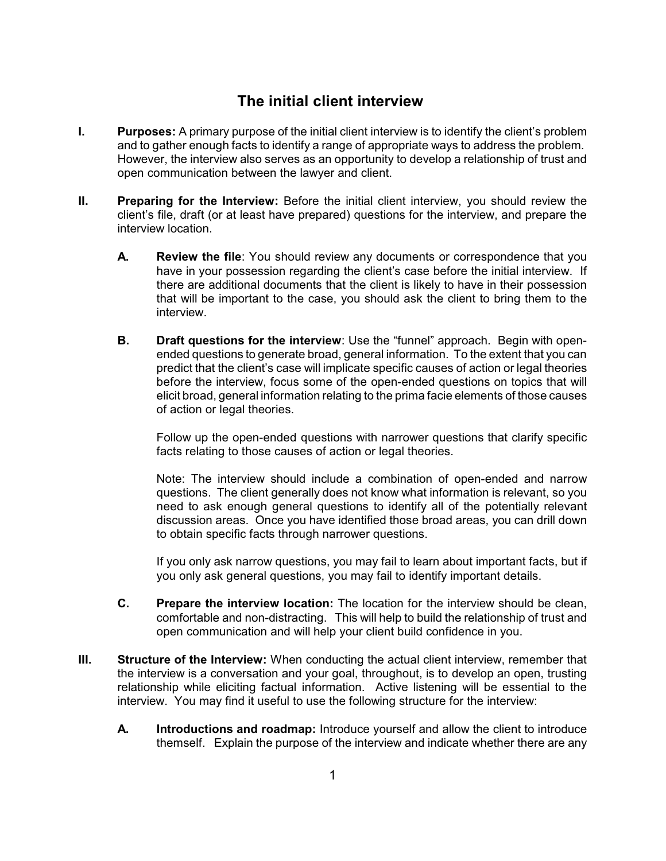## **The initial client interview**

- **I. Purposes:** A primary purpose of the initial client interview is to identify the client's problem and to gather enough facts to identify a range of appropriate ways to address the problem. However, the interview also serves as an opportunity to develop a relationship of trust and open communication between the lawyer and client.
- **II.** Preparing for the Interview: Before the initial client interview, you should review the client's file, draft (or at least have prepared) questions for the interview, and prepare the interview location.
	- **A. Review the file**: You should review any documents or correspondence that you have in your possession regarding the client's case before the initial interview. If there are additional documents that the client is likely to have in their possession that will be important to the case, you should ask the client to bring them to the interview.
	- **B. Draft questions for the interview**: Use the "funnel" approach. Begin with openended questions to generate broad, general information. To the extent that you can predict that the client's case will implicate specific causes of action or legal theories before the interview, focus some of the open-ended questions on topics that will elicit broad, general information relating to the prima facie elements of those causes of action or legal theories.

Follow up the open-ended questions with narrower questions that clarify specific facts relating to those causes of action or legal theories.

Note: The interview should include a combination of open-ended and narrow questions. The client generally does not know what information is relevant, so you need to ask enough general questions to identify all of the potentially relevant discussion areas. Once you have identified those broad areas, you can drill down to obtain specific facts through narrower questions.

If you only ask narrow questions, you may fail to learn about important facts, but if you only ask general questions, you may fail to identify important details.

- **C. Prepare the interview location:** The location for the interview should be clean, comfortable and non-distracting. This will help to build the relationship of trust and open communication and will help your client build confidence in you.
- **III. Structure of the Interview:** When conducting the actual client interview, remember that the interview is a conversation and your goal, throughout, is to develop an open, trusting relationship while eliciting factual information. Active listening will be essential to the interview. You may find it useful to use the following structure for the interview:
	- **A. Introductions and roadmap:** Introduce yourself and allow the client to introduce themself. Explain the purpose of the interview and indicate whether there are any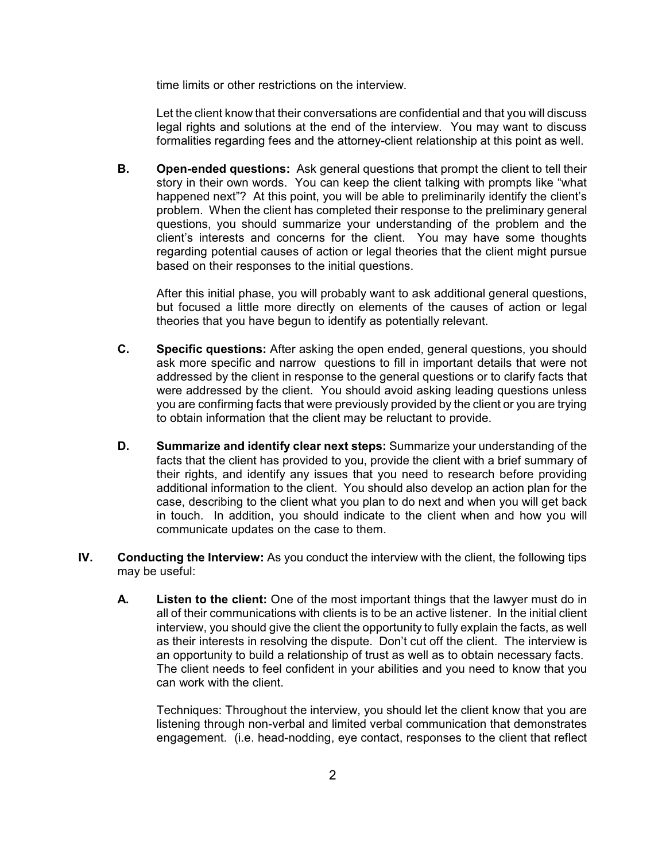time limits or other restrictions on the interview.

Let the client know that their conversations are confidential and that you will discuss legal rights and solutions at the end of the interview. You may want to discuss formalities regarding fees and the attorney-client relationship at this point as well.

**B. Open-ended questions:** Ask general questions that prompt the client to tell their story in their own words. You can keep the client talking with prompts like "what happened next"? At this point, you will be able to preliminarily identify the client's problem. When the client has completed their response to the preliminary general questions, you should summarize your understanding of the problem and the client's interests and concerns for the client. You may have some thoughts regarding potential causes of action or legal theories that the client might pursue based on their responses to the initial questions.

After this initial phase, you will probably want to ask additional general questions, but focused a little more directly on elements of the causes of action or legal theories that you have begun to identify as potentially relevant.

- **C. Specific questions:** After asking the open ended, general questions, you should ask more specific and narrow questions to fill in important details that were not addressed by the client in response to the general questions or to clarify facts that were addressed by the client. You should avoid asking leading questions unless you are confirming facts that were previously provided by the client or you are trying to obtain information that the client may be reluctant to provide.
- **D. Summarize and identify clear next steps:** Summarize your understanding of the facts that the client has provided to you, provide the client with a brief summary of their rights, and identify any issues that you need to research before providing additional information to the client. You should also develop an action plan for the case, describing to the client what you plan to do next and when you will get back in touch. In addition, you should indicate to the client when and how you will communicate updates on the case to them.
- **IV. Conducting the Interview:** As you conduct the interview with the client, the following tips may be useful:
	- **A. Listen to the client:** One of the most important things that the lawyer must do in all of their communications with clients is to be an active listener. In the initial client interview, you should give the client the opportunity to fully explain the facts, as well as their interests in resolving the dispute. Don't cut off the client. The interview is an opportunity to build a relationship of trust as well as to obtain necessary facts. The client needs to feel confident in your abilities and you need to know that you can work with the client.

Techniques: Throughout the interview, you should let the client know that you are listening through non-verbal and limited verbal communication that demonstrates engagement. (i.e. head-nodding, eye contact, responses to the client that reflect